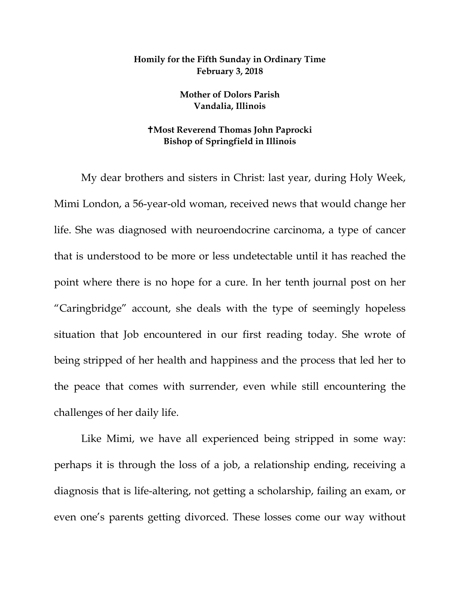## **Homily for the Fifth Sunday in Ordinary Time February 3, 2018**

**Mother of Dolors Parish Vandalia, Illinois**

## **Most Reverend Thomas John Paprocki Bishop of Springfield in Illinois**

My dear brothers and sisters in Christ: last year, during Holy Week, Mimi London, a 56-year-old woman, received news that would change her life. She was diagnosed with neuroendocrine carcinoma, a type of cancer that is understood to be more or less undetectable until it has reached the point where there is no hope for a cure. In her tenth journal post on her "Caringbridge" account, she deals with the type of seemingly hopeless situation that Job encountered in our first reading today. She wrote of being stripped of her health and happiness and the process that led her to the peace that comes with surrender, even while still encountering the challenges of her daily life.

Like Mimi, we have all experienced being stripped in some way: perhaps it is through the loss of a job, a relationship ending, receiving a diagnosis that is life-altering, not getting a scholarship, failing an exam, or even one's parents getting divorced. These losses come our way without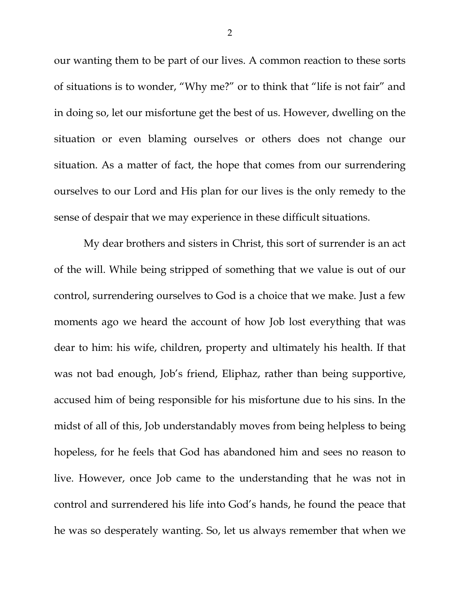our wanting them to be part of our lives. A common reaction to these sorts of situations is to wonder, "Why me?" or to think that "life is not fair" and in doing so, let our misfortune get the best of us. However, dwelling on the situation or even blaming ourselves or others does not change our situation. As a matter of fact, the hope that comes from our surrendering ourselves to our Lord and His plan for our lives is the only remedy to the sense of despair that we may experience in these difficult situations.

My dear brothers and sisters in Christ, this sort of surrender is an act of the will. While being stripped of something that we value is out of our control, surrendering ourselves to God is a choice that we make. Just a few moments ago we heard the account of how Job lost everything that was dear to him: his wife, children, property and ultimately his health. If that was not bad enough, Job's friend, Eliphaz, rather than being supportive, accused him of being responsible for his misfortune due to his sins. In the midst of all of this, Job understandably moves from being helpless to being hopeless, for he feels that God has abandoned him and sees no reason to live. However, once Job came to the understanding that he was not in control and surrendered his life into God's hands, he found the peace that he was so desperately wanting. So, let us always remember that when we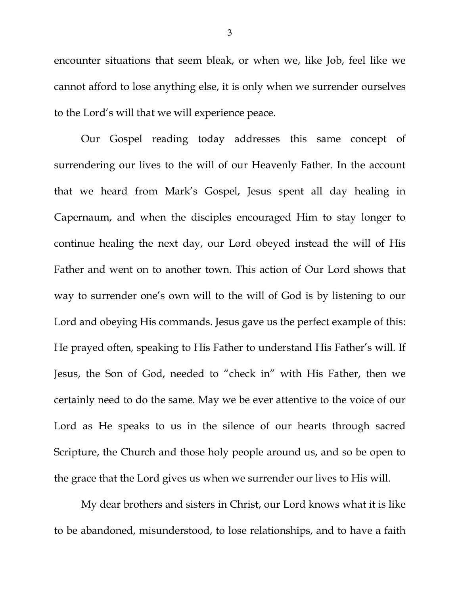encounter situations that seem bleak, or when we, like Job, feel like we cannot afford to lose anything else, it is only when we surrender ourselves to the Lord's will that we will experience peace.

Our Gospel reading today addresses this same concept of surrendering our lives to the will of our Heavenly Father. In the account that we heard from Mark's Gospel, Jesus spent all day healing in Capernaum, and when the disciples encouraged Him to stay longer to continue healing the next day, our Lord obeyed instead the will of His Father and went on to another town. This action of Our Lord shows that way to surrender one's own will to the will of God is by listening to our Lord and obeying His commands. Jesus gave us the perfect example of this: He prayed often, speaking to His Father to understand His Father's will. If Jesus, the Son of God, needed to "check in" with His Father, then we certainly need to do the same. May we be ever attentive to the voice of our Lord as He speaks to us in the silence of our hearts through sacred Scripture, the Church and those holy people around us, and so be open to the grace that the Lord gives us when we surrender our lives to His will.

My dear brothers and sisters in Christ, our Lord knows what it is like to be abandoned, misunderstood, to lose relationships, and to have a faith

3